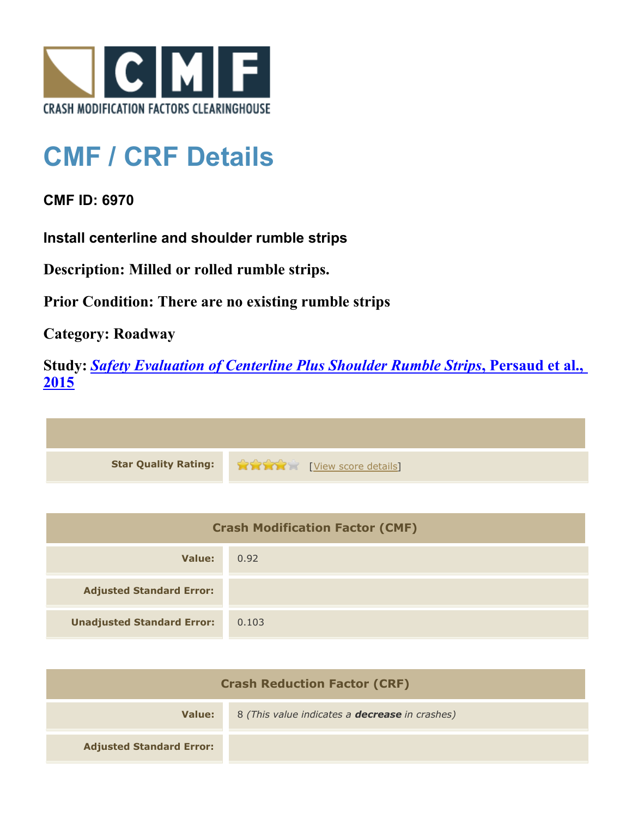

## **CMF / CRF Details**

## **CMF ID: 6970**

**Install centerline and shoulder rumble strips**

**Description: Milled or rolled rumble strips.**

**Prior Condition: There are no existing rumble strips**

**Category: Roadway**

**Study:** *[Safety Evaluation of Centerline Plus Shoulder Rumble Strips](http://www.cmfclearinghouse.org/study_detail.cfm?stid=411)***[, Persaud et al.,](http://www.cmfclearinghouse.org/study_detail.cfm?stid=411) [2015](http://www.cmfclearinghouse.org/study_detail.cfm?stid=411)**



| <b>Crash Modification Factor (CMF)</b> |       |
|----------------------------------------|-------|
| Value:                                 | 0.92  |
| <b>Adjusted Standard Error:</b>        |       |
| <b>Unadjusted Standard Error:</b>      | 0.103 |

| <b>Crash Reduction Factor (CRF)</b> |                                                       |
|-------------------------------------|-------------------------------------------------------|
| Value:                              | 8 (This value indicates a <b>decrease</b> in crashes) |
| <b>Adjusted Standard Error:</b>     |                                                       |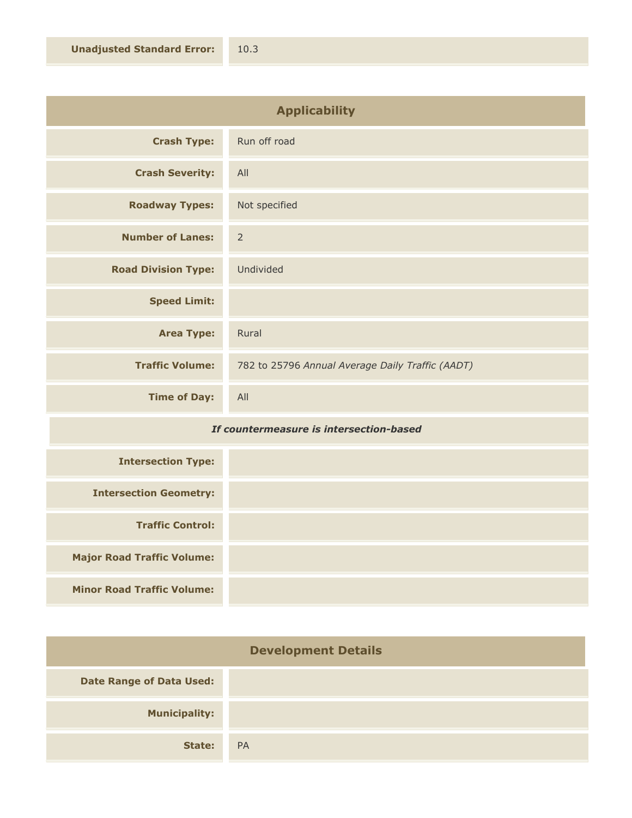| <b>Applicability</b>       |                                                  |
|----------------------------|--------------------------------------------------|
| <b>Crash Type:</b>         | Run off road                                     |
| <b>Crash Severity:</b>     | All                                              |
| <b>Roadway Types:</b>      | Not specified                                    |
| <b>Number of Lanes:</b>    | $\overline{2}$                                   |
| <b>Road Division Type:</b> | Undivided                                        |
| <b>Speed Limit:</b>        |                                                  |
| <b>Area Type:</b>          | Rural                                            |
| <b>Traffic Volume:</b>     | 782 to 25796 Annual Average Daily Traffic (AADT) |
| <b>Time of Day:</b>        | All                                              |

## *If countermeasure is intersection-based*

| <b>Intersection Type:</b>         |  |
|-----------------------------------|--|
| <b>Intersection Geometry:</b>     |  |
| <b>Traffic Control:</b>           |  |
| <b>Major Road Traffic Volume:</b> |  |
| <b>Minor Road Traffic Volume:</b> |  |

| <b>Development Details</b>      |           |
|---------------------------------|-----------|
| <b>Date Range of Data Used:</b> |           |
| <b>Municipality:</b>            |           |
| State:                          | <b>PA</b> |